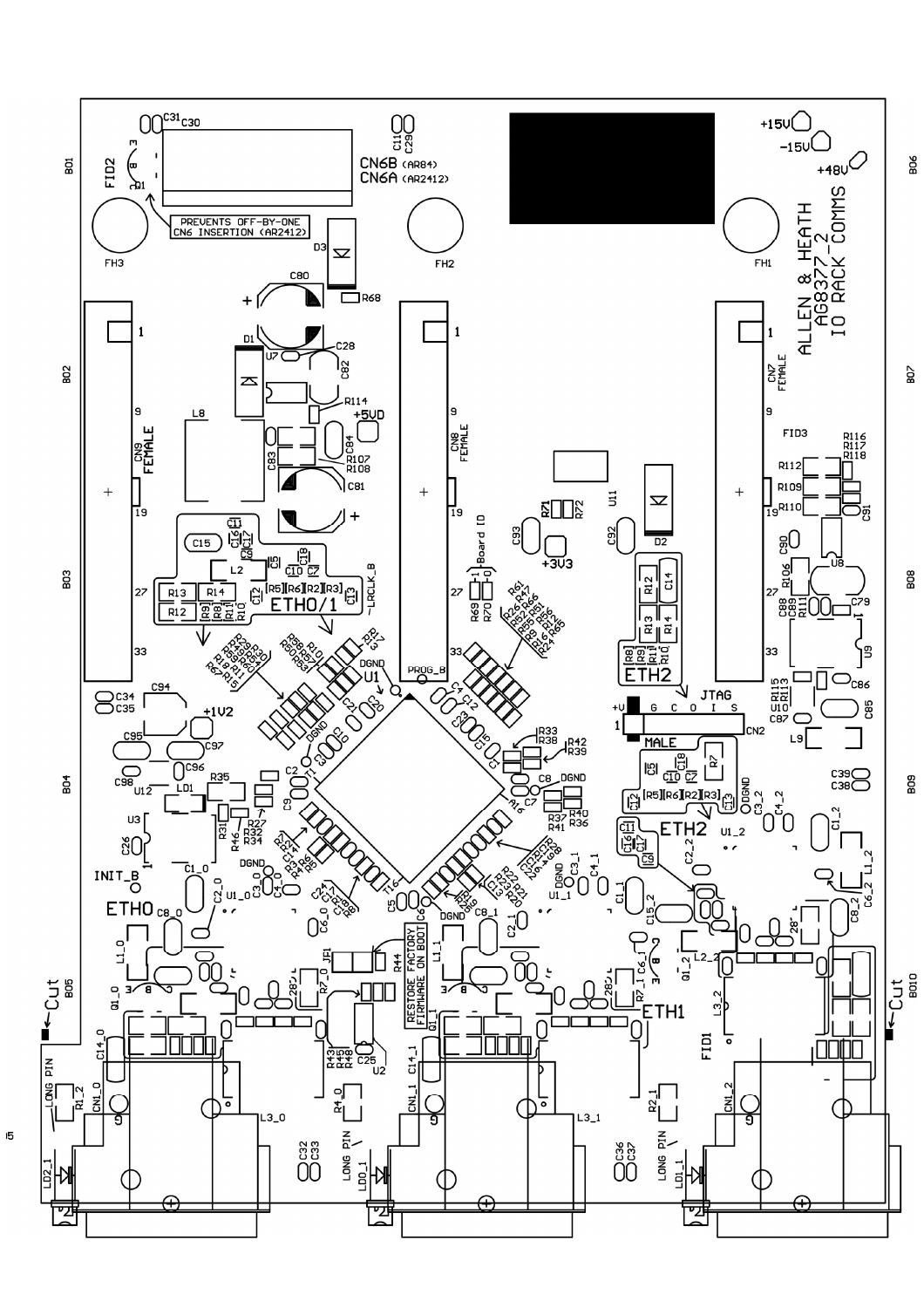

 $\overline{5}$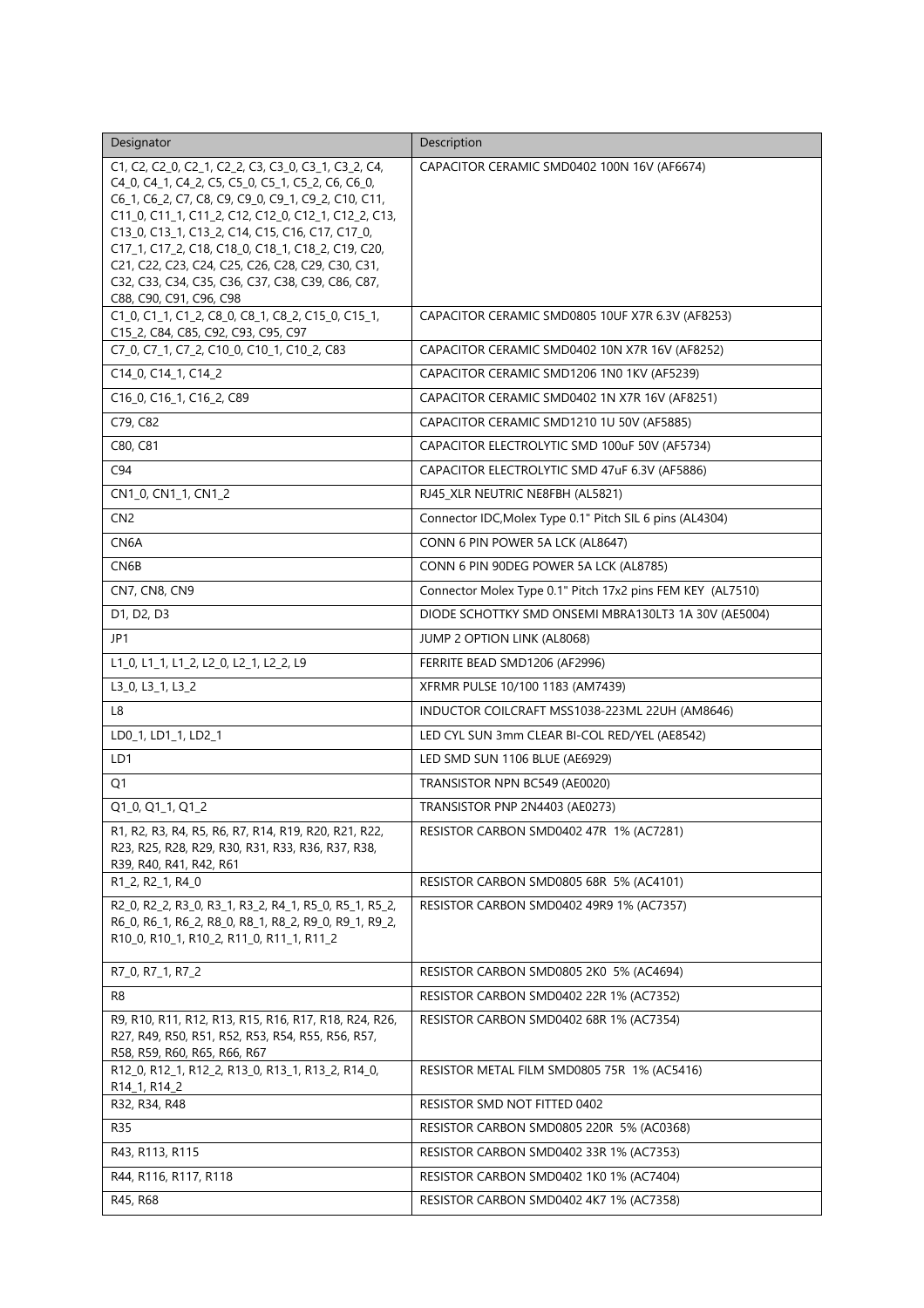| Designator                                                                                                                                                                                                                                                                                                                                                                                                                                                          | Description                                                |
|---------------------------------------------------------------------------------------------------------------------------------------------------------------------------------------------------------------------------------------------------------------------------------------------------------------------------------------------------------------------------------------------------------------------------------------------------------------------|------------------------------------------------------------|
| C1, C2, C2_0, C2_1, C2_2, C3, C3_0, C3_1, C3_2, C4,<br>C4_0, C4_1, C4_2, C5, C5_0, C5_1, C5_2, C6, C6_0,<br>C6_1, C6_2, C7, C8, C9, C9_0, C9_1, C9_2, C10, C11,<br>C11_0, C11_1, C11_2, C12, C12_0, C12_1, C12_2, C13,<br>C13_0, C13_1, C13_2, C14, C15, C16, C17, C17_0,<br>C17_1, C17_2, C18, C18_0, C18_1, C18_2, C19, C20,<br>C21, C22, C23, C24, C25, C26, C28, C29, C30, C31,<br>C32, C33, C34, C35, C36, C37, C38, C39, C86, C87,<br>C88, C90, C91, C96, C98 | CAPACITOR CERAMIC SMD0402 100N 16V (AF6674)                |
| C1_0, C1_1, C1_2, C8_0, C8_1, C8_2, C15_0, C15_1,<br>C15_2, C84, C85, C92, C93, C95, C97                                                                                                                                                                                                                                                                                                                                                                            | CAPACITOR CERAMIC SMD0805 10UF X7R 6.3V (AF8253)           |
| C7_0, C7_1, C7_2, C10_0, C10_1, C10_2, C83                                                                                                                                                                                                                                                                                                                                                                                                                          | CAPACITOR CERAMIC SMD0402 10N X7R 16V (AF8252)             |
| C14_0, C14_1, C14_2                                                                                                                                                                                                                                                                                                                                                                                                                                                 | CAPACITOR CERAMIC SMD1206 1N0 1KV (AF5239)                 |
| C16_0, C16_1, C16_2, C89                                                                                                                                                                                                                                                                                                                                                                                                                                            | CAPACITOR CERAMIC SMD0402 1N X7R 16V (AF8251)              |
| C79, C82                                                                                                                                                                                                                                                                                                                                                                                                                                                            | CAPACITOR CERAMIC SMD1210 1U 50V (AF5885)                  |
| C80, C81                                                                                                                                                                                                                                                                                                                                                                                                                                                            | CAPACITOR ELECTROLYTIC SMD 100uF 50V (AF5734)              |
| C94                                                                                                                                                                                                                                                                                                                                                                                                                                                                 | CAPACITOR ELECTROLYTIC SMD 47uF 6.3V (AF5886)              |
| CN1_0, CN1_1, CN1_2                                                                                                                                                                                                                                                                                                                                                                                                                                                 | RJ45_XLR NEUTRIC NE8FBH (AL5821)                           |
| CN <sub>2</sub>                                                                                                                                                                                                                                                                                                                                                                                                                                                     | Connector IDC, Molex Type 0.1" Pitch SIL 6 pins (AL4304)   |
| CN6A                                                                                                                                                                                                                                                                                                                                                                                                                                                                | CONN 6 PIN POWER 5A LCK (AL8647)                           |
| CN6B                                                                                                                                                                                                                                                                                                                                                                                                                                                                | CONN 6 PIN 90DEG POWER 5A LCK (AL8785)                     |
| CN7, CN8, CN9                                                                                                                                                                                                                                                                                                                                                                                                                                                       | Connector Molex Type 0.1" Pitch 17x2 pins FEM KEY (AL7510) |
| D1, D2, D3                                                                                                                                                                                                                                                                                                                                                                                                                                                          | DIODE SCHOTTKY SMD ONSEMI MBRA130LT3 1A 30V (AE5004)       |
| JP1                                                                                                                                                                                                                                                                                                                                                                                                                                                                 | JUMP 2 OPTION LINK (AL8068)                                |
| L1_0, L1_1, L1_2, L2_0, L2_1, L2_2, L9                                                                                                                                                                                                                                                                                                                                                                                                                              | FERRITE BEAD SMD1206 (AF2996)                              |
| L3_0, L3_1, L3_2                                                                                                                                                                                                                                                                                                                                                                                                                                                    | XFRMR PULSE 10/100 1183 (AM7439)                           |
| L8                                                                                                                                                                                                                                                                                                                                                                                                                                                                  | INDUCTOR COILCRAFT MSS1038-223ML 22UH (AM8646)             |
| LD0_1, LD1_1, LD2_1                                                                                                                                                                                                                                                                                                                                                                                                                                                 | LED CYL SUN 3mm CLEAR BI-COL RED/YEL (AE8542)              |
| LD1                                                                                                                                                                                                                                                                                                                                                                                                                                                                 | LED SMD SUN 1106 BLUE (AE6929)                             |
| Q1                                                                                                                                                                                                                                                                                                                                                                                                                                                                  | TRANSISTOR NPN BC549 (AE0020)                              |
| Q1_0, Q1_1, Q1_2                                                                                                                                                                                                                                                                                                                                                                                                                                                    | TRANSISTOR PNP 2N4403 (AE0273)                             |
| R1, R2, R3, R4, R5, R6, R7, R14, R19, R20, R21, R22,<br>R23, R25, R28, R29, R30, R31, R33, R36, R37, R38,<br>R39, R40, R41, R42, R61                                                                                                                                                                                                                                                                                                                                | RESISTOR CARBON SMD0402 47R 1% (AC7281)                    |
| R1_2, R2_1, R4_0                                                                                                                                                                                                                                                                                                                                                                                                                                                    | RESISTOR CARBON SMD0805 68R 5% (AC4101)                    |
| R2 0, R2 2, R3 0, R3 1, R3 2, R4 1, R5 0, R5 1, R5 2,<br>R6_0, R6_1, R6_2, R8_0, R8_1, R8_2, R9_0, R9_1, R9_2,<br>R10_0, R10_1, R10_2, R11_0, R11_1, R11_2                                                                                                                                                                                                                                                                                                          | RESISTOR CARBON SMD0402 49R9 1% (AC7357)                   |
| R7_0, R7_1, R7_2                                                                                                                                                                                                                                                                                                                                                                                                                                                    | RESISTOR CARBON SMD0805 2K0 5% (AC4694)                    |
| R8                                                                                                                                                                                                                                                                                                                                                                                                                                                                  | RESISTOR CARBON SMD0402 22R 1% (AC7352)                    |
| R9, R10, R11, R12, R13, R15, R16, R17, R18, R24, R26,<br>R27, R49, R50, R51, R52, R53, R54, R55, R56, R57,<br>R58, R59, R60, R65, R66, R67                                                                                                                                                                                                                                                                                                                          | RESISTOR CARBON SMD0402 68R 1% (AC7354)                    |
| R12_0, R12_1, R12_2, R13_0, R13_1, R13_2, R14_0,<br>R14_1, R14_2                                                                                                                                                                                                                                                                                                                                                                                                    | RESISTOR METAL FILM SMD0805 75R 1% (AC5416)                |
| R32, R34, R48                                                                                                                                                                                                                                                                                                                                                                                                                                                       | RESISTOR SMD NOT FITTED 0402                               |
| <b>R35</b>                                                                                                                                                                                                                                                                                                                                                                                                                                                          | RESISTOR CARBON SMD0805 220R 5% (AC0368)                   |
| R43, R113, R115                                                                                                                                                                                                                                                                                                                                                                                                                                                     | RESISTOR CARBON SMD0402 33R 1% (AC7353)                    |
| R44, R116, R117, R118                                                                                                                                                                                                                                                                                                                                                                                                                                               | RESISTOR CARBON SMD0402 1K0 1% (AC7404)                    |
| R45, R68                                                                                                                                                                                                                                                                                                                                                                                                                                                            | RESISTOR CARBON SMD0402 4K7 1% (AC7358)                    |